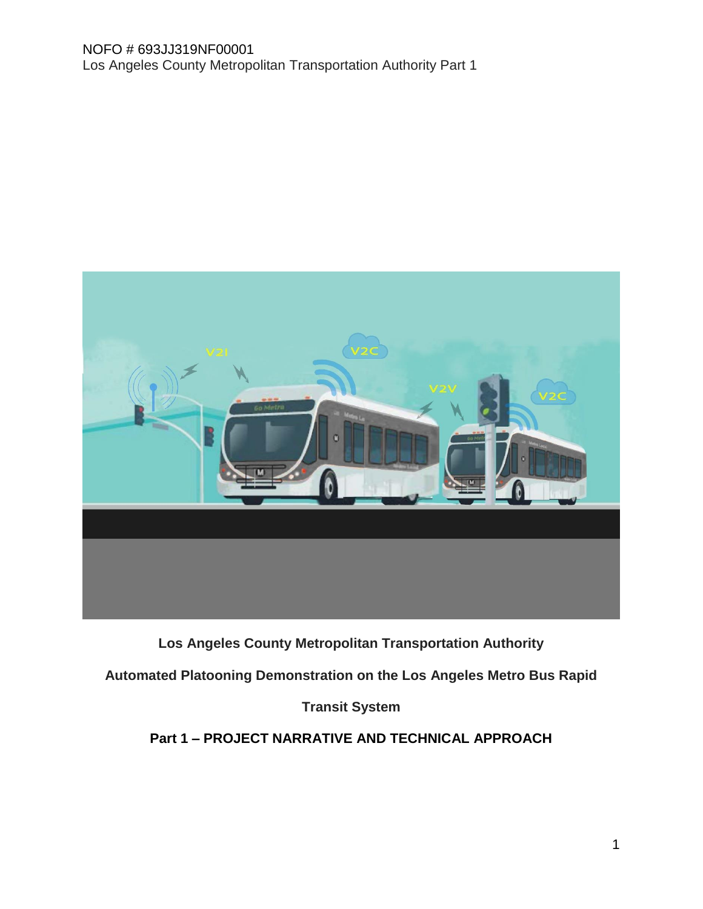

## **Los Angeles County Metropolitan Transportation Authority**

**Automated Platooning Demonstration on the Los Angeles Metro Bus Rapid** 

## **Transit System**

## **Part 1 – PROJECT NARRATIVE AND TECHNICAL APPROACH**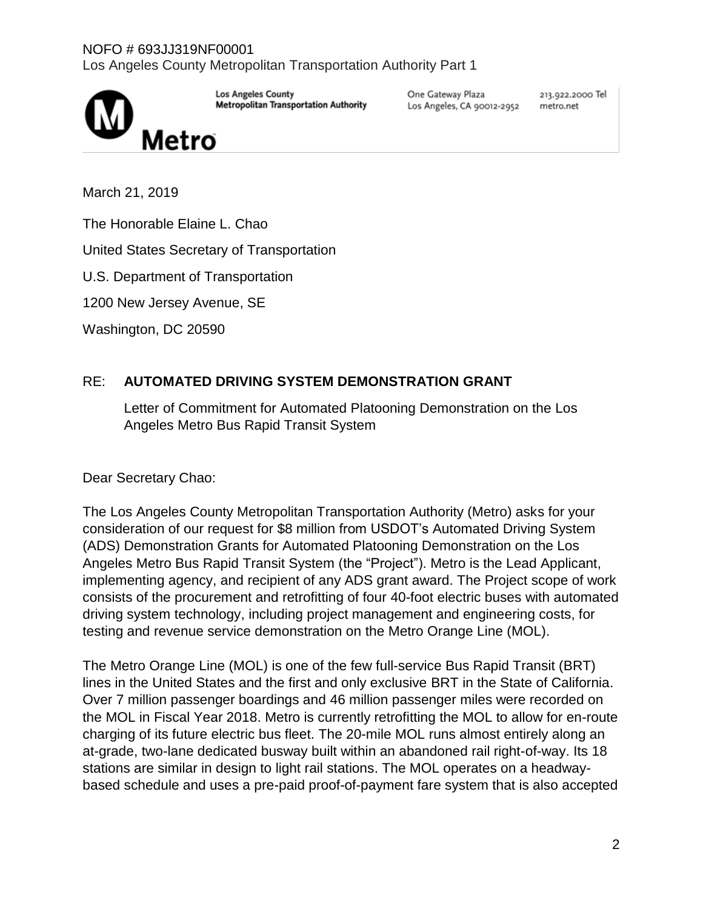

**Los Angeles County Metropolitan Transportation Authority**  One Gateway Plaza Los Angeles, CA 90012-2952 213.922.2000 Tel metro.net

March 21, 2019

The Honorable Elaine L. Chao

United States Secretary of Transportation

U.S. Department of Transportation

1200 New Jersey Avenue, SE

Washington, DC 20590

## RE: **AUTOMATED DRIVING SYSTEM DEMONSTRATION GRANT**

Letter of Commitment for Automated Platooning Demonstration on the Los Angeles Metro Bus Rapid Transit System

Dear Secretary Chao:

The Los Angeles County Metropolitan Transportation Authority (Metro) asks for your consideration of our request for \$8 million from USDOT's Automated Driving System (ADS) Demonstration Grants for Automated Platooning Demonstration on the Los Angeles Metro Bus Rapid Transit System (the "Project"). Metro is the Lead Applicant, implementing agency, and recipient of any ADS grant award. The Project scope of work consists of the procurement and retrofitting of four 40-foot electric buses with automated driving system technology, including project management and engineering costs, for testing and revenue service demonstration on the Metro Orange Line (MOL).

The Metro Orange Line (MOL) is one of the few full-service Bus Rapid Transit (BRT) lines in the United States and the first and only exclusive BRT in the State of California. Over 7 million passenger boardings and 46 million passenger miles were recorded on the MOL in Fiscal Year 2018. Metro is currently retrofitting the MOL to allow for en-route charging of its future electric bus fleet. The 20-mile MOL runs almost entirely along an at-grade, two-lane dedicated busway built within an abandoned rail right-of-way. Its 18 stations are similar in design to light rail stations. The MOL operates on a headwaybased schedule and uses a pre-paid proof-of-payment fare system that is also accepted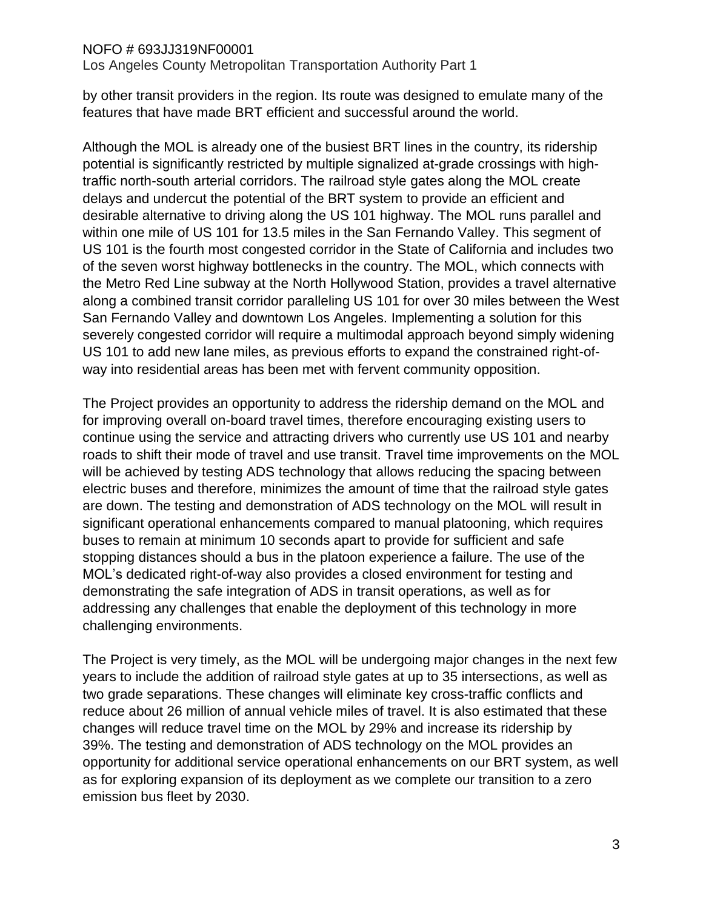Los Angeles County Metropolitan Transportation Authority Part 1

by other transit providers in the region. Its route was designed to emulate many of the features that have made BRT efficient and successful around the world.

Although the MOL is already one of the busiest BRT lines in the country, its ridership potential is significantly restricted by multiple signalized at-grade crossings with hightraffic north-south arterial corridors. The railroad style gates along the MOL create delays and undercut the potential of the BRT system to provide an efficient and desirable alternative to driving along the US 101 highway. The MOL runs parallel and within one mile of US 101 for 13.5 miles in the San Fernando Valley. This segment of US 101 is the fourth most congested corridor in the State of California and includes two of the seven worst highway bottlenecks in the country. The MOL, which connects with the Metro Red Line subway at the North Hollywood Station, provides a travel alternative along a combined transit corridor paralleling US 101 for over 30 miles between the West San Fernando Valley and downtown Los Angeles. Implementing a solution for this severely congested corridor will require a multimodal approach beyond simply widening US 101 to add new lane miles, as previous efforts to expand the constrained right-ofway into residential areas has been met with fervent community opposition.

The Project provides an opportunity to address the ridership demand on the MOL and for improving overall on-board travel times, therefore encouraging existing users to continue using the service and attracting drivers who currently use US 101 and nearby roads to shift their mode of travel and use transit. Travel time improvements on the MOL will be achieved by testing ADS technology that allows reducing the spacing between electric buses and therefore, minimizes the amount of time that the railroad style gates are down. The testing and demonstration of ADS technology on the MOL will result in significant operational enhancements compared to manual platooning, which requires buses to remain at minimum 10 seconds apart to provide for sufficient and safe stopping distances should a bus in the platoon experience a failure. The use of the MOL's dedicated right-of-way also provides a closed environment for testing and demonstrating the safe integration of ADS in transit operations, as well as for addressing any challenges that enable the deployment of this technology in more challenging environments.

The Project is very timely, as the MOL will be undergoing major changes in the next few years to include the addition of railroad style gates at up to 35 intersections, as well as two grade separations. These changes will eliminate key cross-traffic conflicts and reduce about 26 million of annual vehicle miles of travel. It is also estimated that these changes will reduce travel time on the MOL by 29% and increase its ridership by 39%. The testing and demonstration of ADS technology on the MOL provides an opportunity for additional service operational enhancements on our BRT system, as well as for exploring expansion of its deployment as we complete our transition to a zero emission bus fleet by 2030.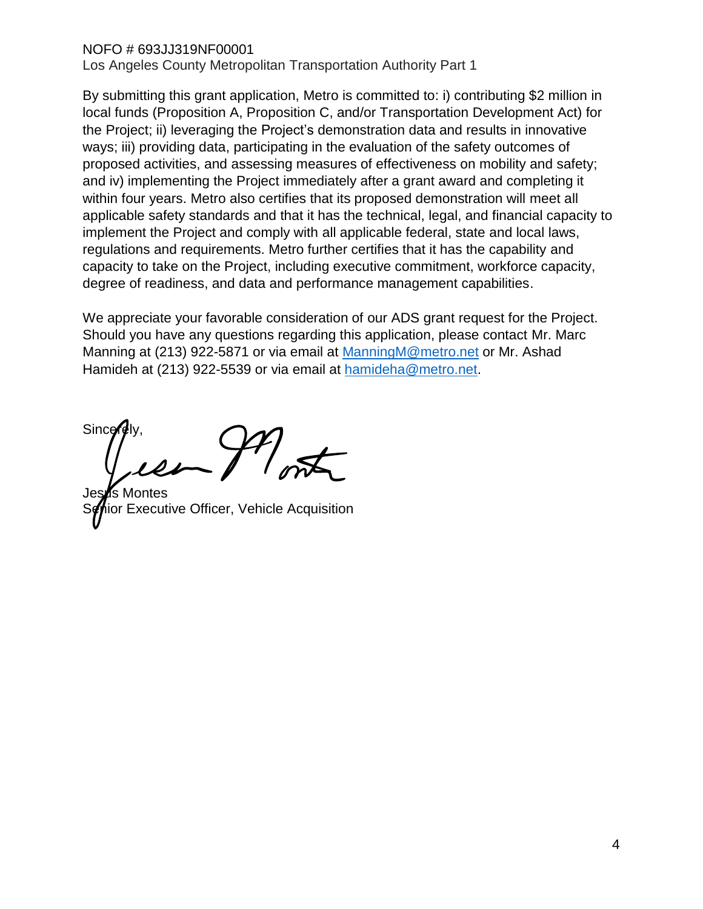Los Angeles County Metropolitan Transportation Authority Part 1

By submitting this grant application, Metro is committed to: i) contributing \$2 million in local funds (Proposition A, Proposition C, and/or Transportation Development Act) for the Project; ii) leveraging the Project's demonstration data and results in innovative ways; iii) providing data, participating in the evaluation of the safety outcomes of proposed activities, and assessing measures of effectiveness on mobility and safety; and iv) implementing the Project immediately after a grant award and completing it within four years. Metro also certifies that its proposed demonstration will meet all applicable safety standards and that it has the technical, legal, and financial capacity to implement the Project and comply with all applicable federal, state and local laws, regulations and requirements. Metro further certifies that it has the capability and capacity to take on the Project, including executive commitment, workforce capacity, degree of readiness, and data and performance management capabilities.

We appreciate your favorable consideration of our ADS grant request for the Project. Should you have any questions regarding this application, please contact Mr. Marc Manning at (213) 922-5871 or via email at [ManningM@metro.net](mailto:ManningM@metro.net) or Mr. Ashad Hamideh at (213) 922-5539 or via email at [hamideha@metro.net.](mailto:hamideha@metro.net)

Since

Jesus Montes or Executive Officer, Vehicle Acquisition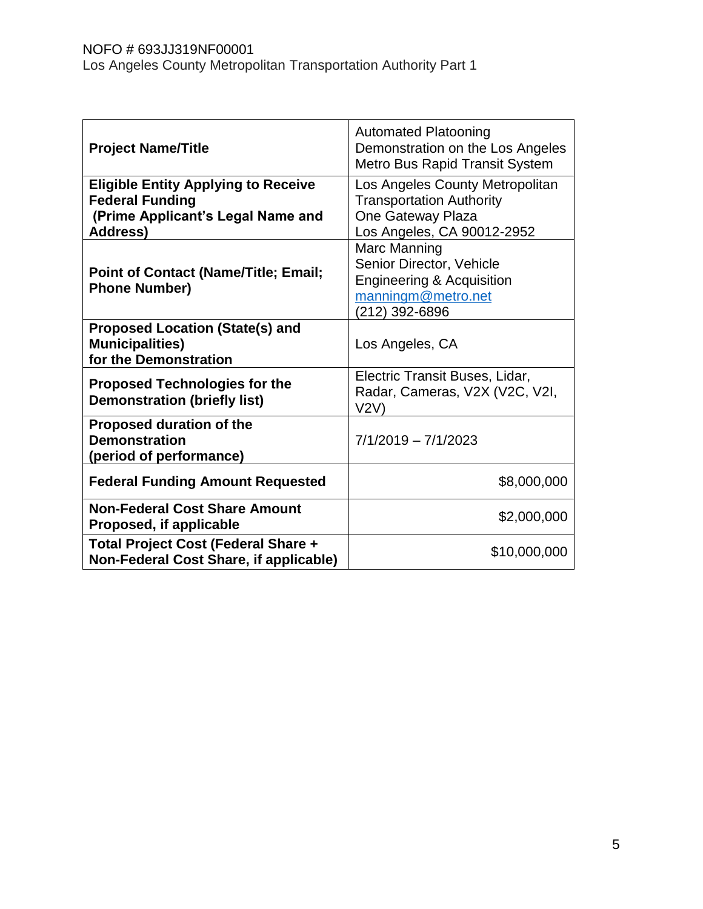| <b>Project Name/Title</b>                                                                                                    | <b>Automated Platooning</b><br>Demonstration on the Los Angeles<br>Metro Bus Rapid Transit System                        |  |
|------------------------------------------------------------------------------------------------------------------------------|--------------------------------------------------------------------------------------------------------------------------|--|
| <b>Eligible Entity Applying to Receive</b><br><b>Federal Funding</b><br>(Prime Applicant's Legal Name and<br><b>Address)</b> | Los Angeles County Metropolitan<br><b>Transportation Authority</b><br>One Gateway Plaza<br>Los Angeles, CA 90012-2952    |  |
| <b>Point of Contact (Name/Title; Email;</b><br><b>Phone Number)</b>                                                          | Marc Manning<br>Senior Director, Vehicle<br><b>Engineering &amp; Acquisition</b><br>manningm@metro.net<br>(212) 392-6896 |  |
| <b>Proposed Location (State(s) and</b><br><b>Municipalities)</b><br>for the Demonstration                                    | Los Angeles, CA                                                                                                          |  |
| <b>Proposed Technologies for the</b><br><b>Demonstration (briefly list)</b>                                                  | Electric Transit Buses, Lidar,<br>Radar, Cameras, V2X (V2C, V2I,<br>V2V)                                                 |  |
| <b>Proposed duration of the</b><br><b>Demonstration</b><br>(period of performance)                                           | $7/1/2019 - 7/1/2023$                                                                                                    |  |
| <b>Federal Funding Amount Requested</b>                                                                                      | \$8,000,000                                                                                                              |  |
| <b>Non-Federal Cost Share Amount</b><br>Proposed, if applicable                                                              | \$2,000,000                                                                                                              |  |
| Total Project Cost (Federal Share +<br>Non-Federal Cost Share, if applicable)                                                | \$10,000,000                                                                                                             |  |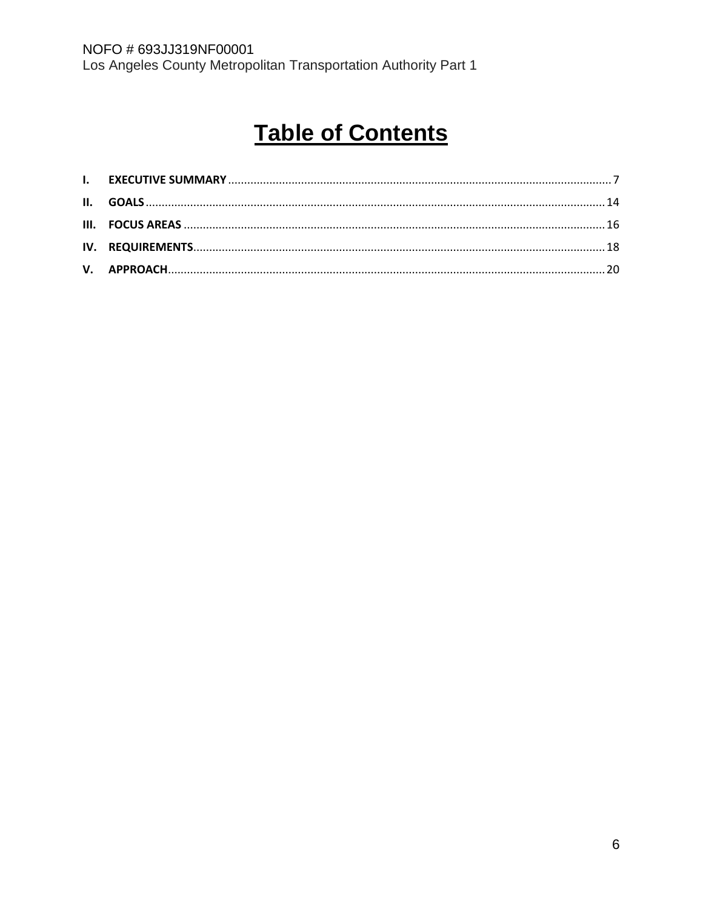# **Table of Contents**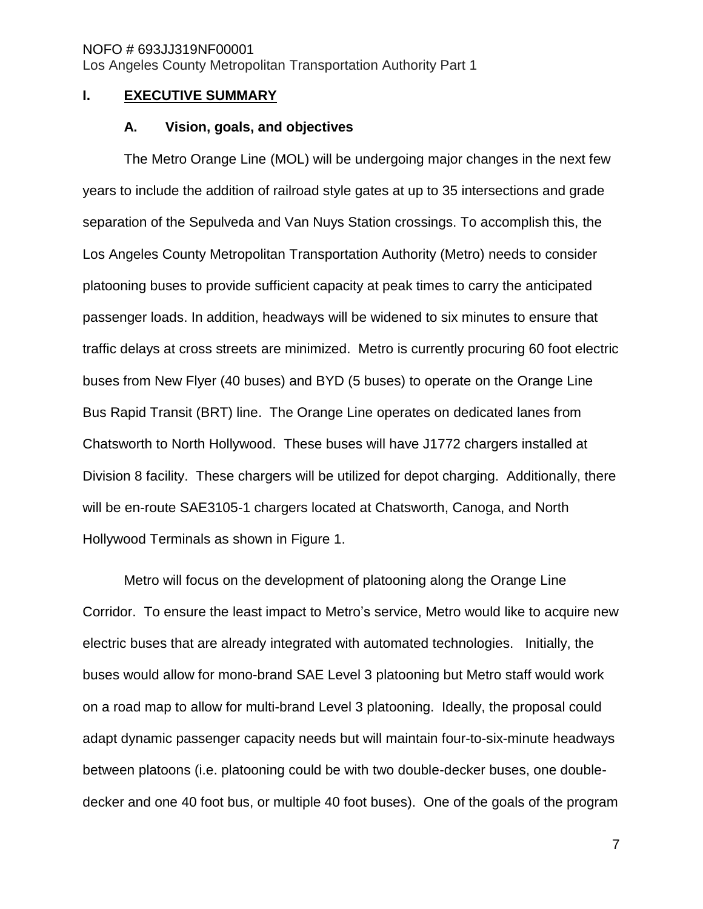#### <span id="page-6-0"></span>**I. EXECUTIVE SUMMARY**

#### **A. Vision, goals, and objectives**

The Metro Orange Line (MOL) will be undergoing major changes in the next few years to include the addition of railroad style gates at up to 35 intersections and grade separation of the Sepulveda and Van Nuys Station crossings. To accomplish this, the Los Angeles County Metropolitan Transportation Authority (Metro) needs to consider platooning buses to provide sufficient capacity at peak times to carry the anticipated passenger loads. In addition, headways will be widened to six minutes to ensure that traffic delays at cross streets are minimized. Metro is currently procuring 60 foot electric buses from New Flyer (40 buses) and BYD (5 buses) to operate on the Orange Line Bus Rapid Transit (BRT) line. The Orange Line operates on dedicated lanes from Chatsworth to North Hollywood. These buses will have J1772 chargers installed at Division 8 facility. These chargers will be utilized for depot charging. Additionally, there will be en-route SAE3105-1 chargers located at Chatsworth, Canoga, and North Hollywood Terminals as shown in Figure 1.

Metro will focus on the development of platooning along the Orange Line Corridor. To ensure the least impact to Metro's service, Metro would like to acquire new electric buses that are already integrated with automated technologies. Initially, the buses would allow for mono-brand SAE Level 3 platooning but Metro staff would work on a road map to allow for multi-brand Level 3 platooning. Ideally, the proposal could adapt dynamic passenger capacity needs but will maintain four-to-six-minute headways between platoons (i.e. platooning could be with two double-decker buses, one doubledecker and one 40 foot bus, or multiple 40 foot buses). One of the goals of the program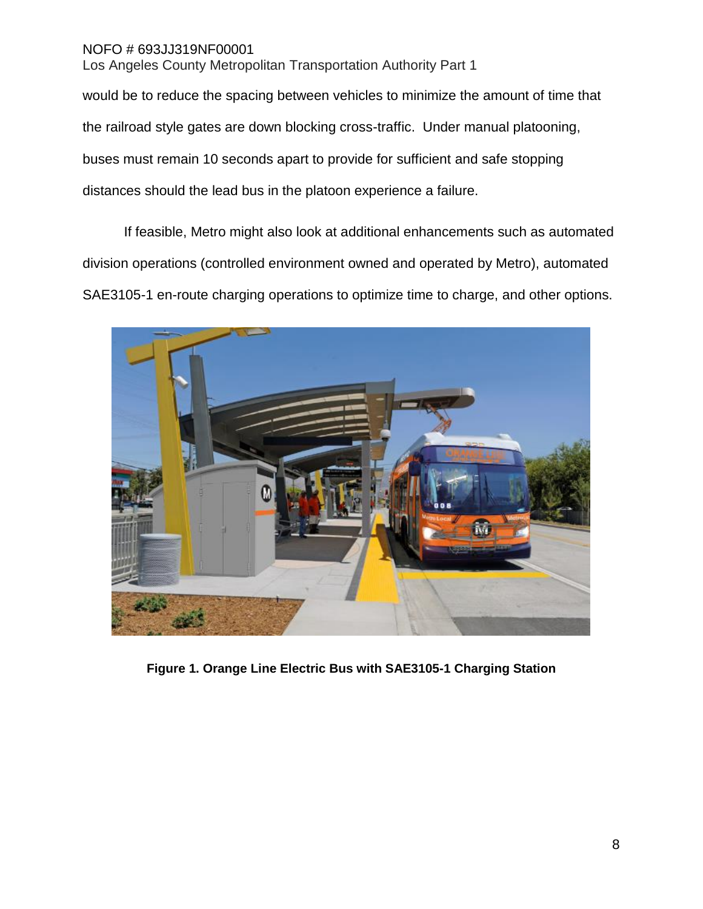would be to reduce the spacing between vehicles to minimize the amount of time that the railroad style gates are down blocking cross-traffic. Under manual platooning, buses must remain 10 seconds apart to provide for sufficient and safe stopping distances should the lead bus in the platoon experience a failure.

If feasible, Metro might also look at additional enhancements such as automated division operations (controlled environment owned and operated by Metro), automated SAE3105-1 en-route charging operations to optimize time to charge, and other options.



**Figure 1. Orange Line Electric Bus with SAE3105-1 Charging Station**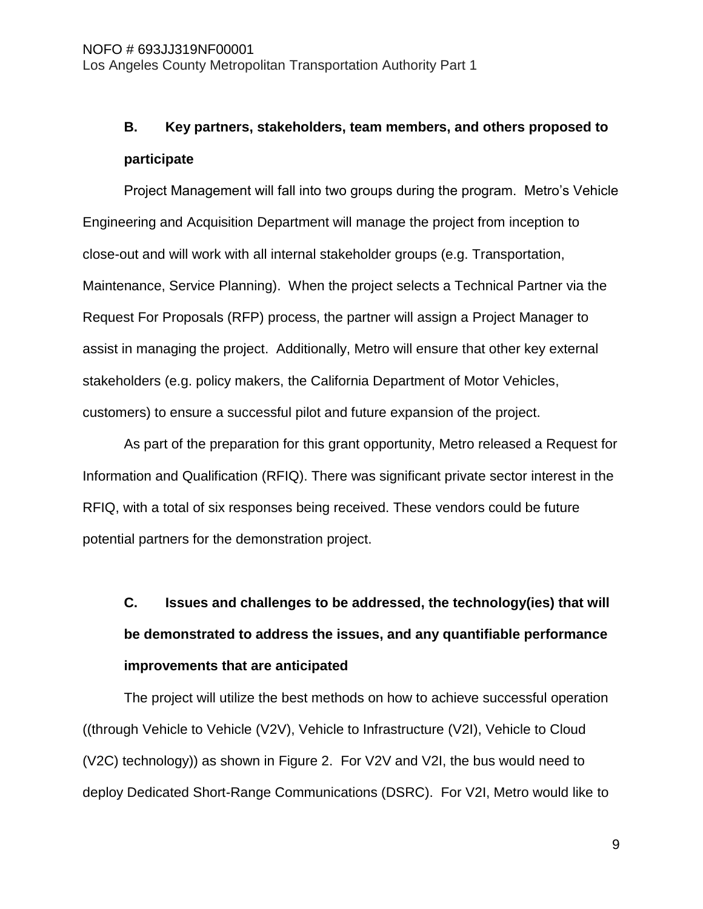## **B. Key partners, stakeholders, team members, and others proposed to participate**

Project Management will fall into two groups during the program. Metro's Vehicle Engineering and Acquisition Department will manage the project from inception to close-out and will work with all internal stakeholder groups (e.g. Transportation, Maintenance, Service Planning). When the project selects a Technical Partner via the Request For Proposals (RFP) process, the partner will assign a Project Manager to assist in managing the project. Additionally, Metro will ensure that other key external stakeholders (e.g. policy makers, the California Department of Motor Vehicles, customers) to ensure a successful pilot and future expansion of the project.

As part of the preparation for this grant opportunity, Metro released a Request for Information and Qualification (RFIQ). There was significant private sector interest in the RFIQ, with a total of six responses being received. These vendors could be future potential partners for the demonstration project.

## **C. Issues and challenges to be addressed, the technology(ies) that will be demonstrated to address the issues, and any quantifiable performance improvements that are anticipated**

The project will utilize the best methods on how to achieve successful operation ((through Vehicle to Vehicle (V2V), Vehicle to Infrastructure (V2I), Vehicle to Cloud (V2C) technology)) as shown in Figure 2. For V2V and V2I, the bus would need to deploy Dedicated Short-Range Communications (DSRC). For V2I, Metro would like to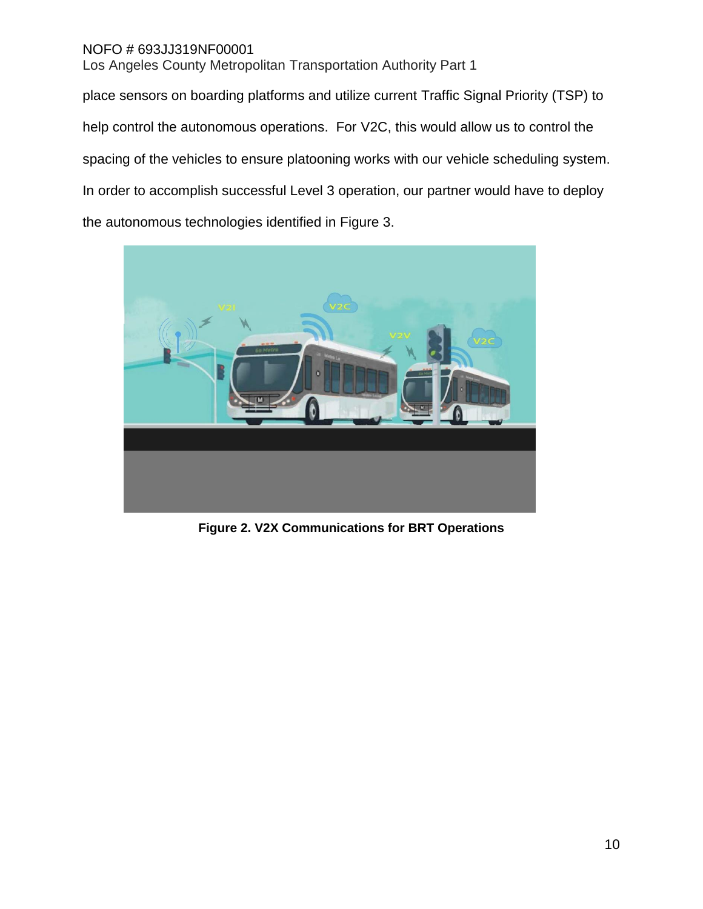place sensors on boarding platforms and utilize current Traffic Signal Priority (TSP) to help control the autonomous operations. For V2C, this would allow us to control the spacing of the vehicles to ensure platooning works with our vehicle scheduling system. In order to accomplish successful Level 3 operation, our partner would have to deploy the autonomous technologies identified in Figure 3.



**Figure 2. V2X Communications for BRT Operations**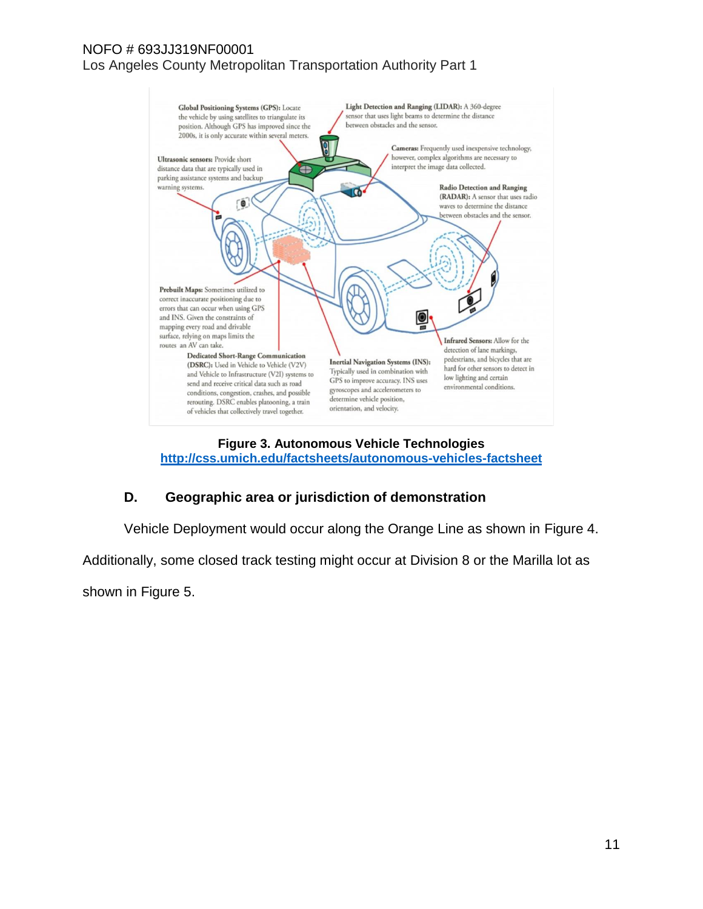

#### **Figure 3. Autonomous Vehicle Technologies <http://css.umich.edu/factsheets/autonomous-vehicles-factsheet>**

## **D. Geographic area or jurisdiction of demonstration**

Vehicle Deployment would occur along the Orange Line as shown in Figure 4.

Additionally, some closed track testing might occur at Division 8 or the Marilla lot as

shown in Figure 5.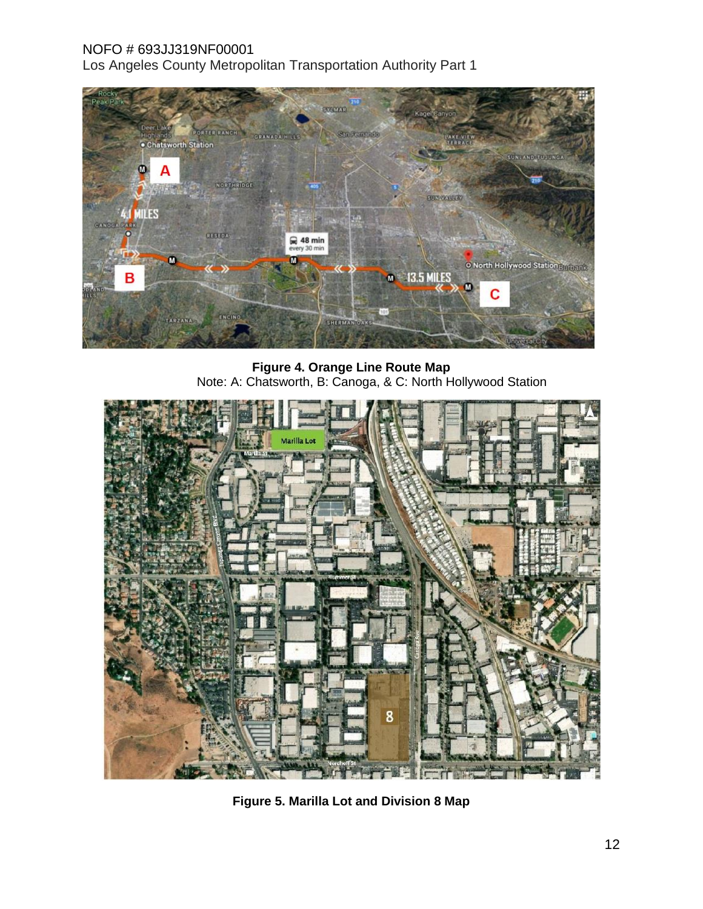

**Figure 4. Orange Line Route Map** Note: A: Chatsworth, B: Canoga, & C: North Hollywood Station



**Figure 5. Marilla Lot and Division 8 Map**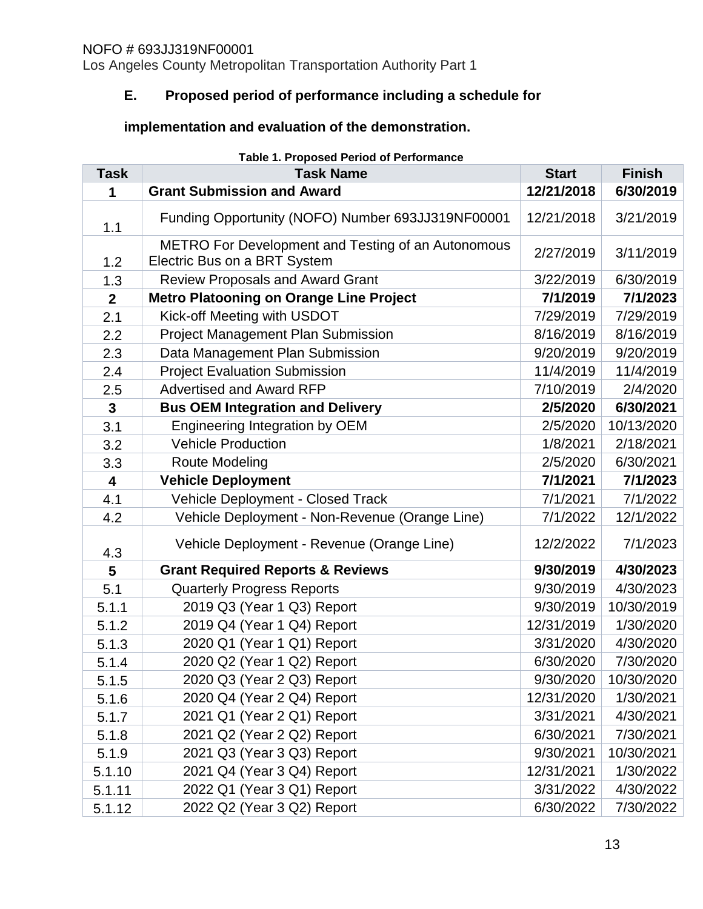Los Angeles County Metropolitan Transportation Authority Part 1

## **E. Proposed period of performance including a schedule for**

## **implementation and evaluation of the demonstration.**

| <b>Table 1. Proposed Period of Performance</b> |                                                                                    |              |               |  |  |  |
|------------------------------------------------|------------------------------------------------------------------------------------|--------------|---------------|--|--|--|
| <b>Task</b>                                    | <b>Task Name</b>                                                                   | <b>Start</b> | <b>Finish</b> |  |  |  |
| 1                                              | <b>Grant Submission and Award</b>                                                  | 12/21/2018   | 6/30/2019     |  |  |  |
| 1.1                                            | Funding Opportunity (NOFO) Number 693JJ319NF00001                                  | 12/21/2018   | 3/21/2019     |  |  |  |
| 1.2                                            | METRO For Development and Testing of an Autonomous<br>Electric Bus on a BRT System | 2/27/2019    | 3/11/2019     |  |  |  |
| 1.3                                            | <b>Review Proposals and Award Grant</b>                                            | 3/22/2019    | 6/30/2019     |  |  |  |
| $\mathbf{2}$                                   | <b>Metro Platooning on Orange Line Project</b>                                     | 7/1/2019     | 7/1/2023      |  |  |  |
| 2.1                                            | Kick-off Meeting with USDOT                                                        | 7/29/2019    | 7/29/2019     |  |  |  |
| 2.2                                            | Project Management Plan Submission                                                 | 8/16/2019    | 8/16/2019     |  |  |  |
| 2.3                                            | Data Management Plan Submission                                                    | 9/20/2019    | 9/20/2019     |  |  |  |
| 2.4                                            | <b>Project Evaluation Submission</b>                                               | 11/4/2019    | 11/4/2019     |  |  |  |
| 2.5                                            | <b>Advertised and Award RFP</b>                                                    | 7/10/2019    | 2/4/2020      |  |  |  |
| $\mathbf{3}$                                   | <b>Bus OEM Integration and Delivery</b>                                            | 2/5/2020     | 6/30/2021     |  |  |  |
| 3.1                                            | Engineering Integration by OEM                                                     | 2/5/2020     | 10/13/2020    |  |  |  |
| 3.2                                            | <b>Vehicle Production</b>                                                          | 1/8/2021     | 2/18/2021     |  |  |  |
| 3.3                                            | <b>Route Modeling</b>                                                              | 2/5/2020     | 6/30/2021     |  |  |  |
| $\overline{\mathbf{4}}$                        | <b>Vehicle Deployment</b>                                                          | 7/1/2021     | 7/1/2023      |  |  |  |
| 4.1                                            | Vehicle Deployment - Closed Track                                                  | 7/1/2021     | 7/1/2022      |  |  |  |
| 4.2                                            | Vehicle Deployment - Non-Revenue (Orange Line)                                     | 7/1/2022     | 12/1/2022     |  |  |  |
| 4.3                                            | Vehicle Deployment - Revenue (Orange Line)                                         | 12/2/2022    | 7/1/2023      |  |  |  |
| 5                                              | <b>Grant Required Reports &amp; Reviews</b>                                        | 9/30/2019    | 4/30/2023     |  |  |  |
| 5.1                                            | <b>Quarterly Progress Reports</b>                                                  | 9/30/2019    | 4/30/2023     |  |  |  |
| 5.1.1                                          | 2019 Q3 (Year 1 Q3) Report                                                         | 9/30/2019    | 10/30/2019    |  |  |  |
| 5.1.2                                          | 2019 Q4 (Year 1 Q4) Report                                                         | 12/31/2019   | 1/30/2020     |  |  |  |
| 5.1.3                                          | 2020 Q1 (Year 1 Q1) Report                                                         | 3/31/2020    | 4/30/2020     |  |  |  |
| 5.1.4                                          | 2020 Q2 (Year 1 Q2) Report                                                         | 6/30/2020    | 7/30/2020     |  |  |  |
| 5.1.5                                          | 2020 Q3 (Year 2 Q3) Report                                                         | 9/30/2020    | 10/30/2020    |  |  |  |
| 5.1.6                                          | 2020 Q4 (Year 2 Q4) Report                                                         | 12/31/2020   | 1/30/2021     |  |  |  |
| 5.1.7                                          | 2021 Q1 (Year 2 Q1) Report                                                         | 3/31/2021    | 4/30/2021     |  |  |  |
| 5.1.8                                          | 2021 Q2 (Year 2 Q2) Report                                                         | 6/30/2021    | 7/30/2021     |  |  |  |
| 5.1.9                                          | 2021 Q3 (Year 3 Q3) Report                                                         | 9/30/2021    | 10/30/2021    |  |  |  |
| 5.1.10                                         | 2021 Q4 (Year 3 Q4) Report                                                         | 12/31/2021   | 1/30/2022     |  |  |  |
| 5.1.11                                         | 2022 Q1 (Year 3 Q1) Report                                                         | 3/31/2022    | 4/30/2022     |  |  |  |
| 5.1.12                                         | 2022 Q2 (Year 3 Q2) Report                                                         | 6/30/2022    | 7/30/2022     |  |  |  |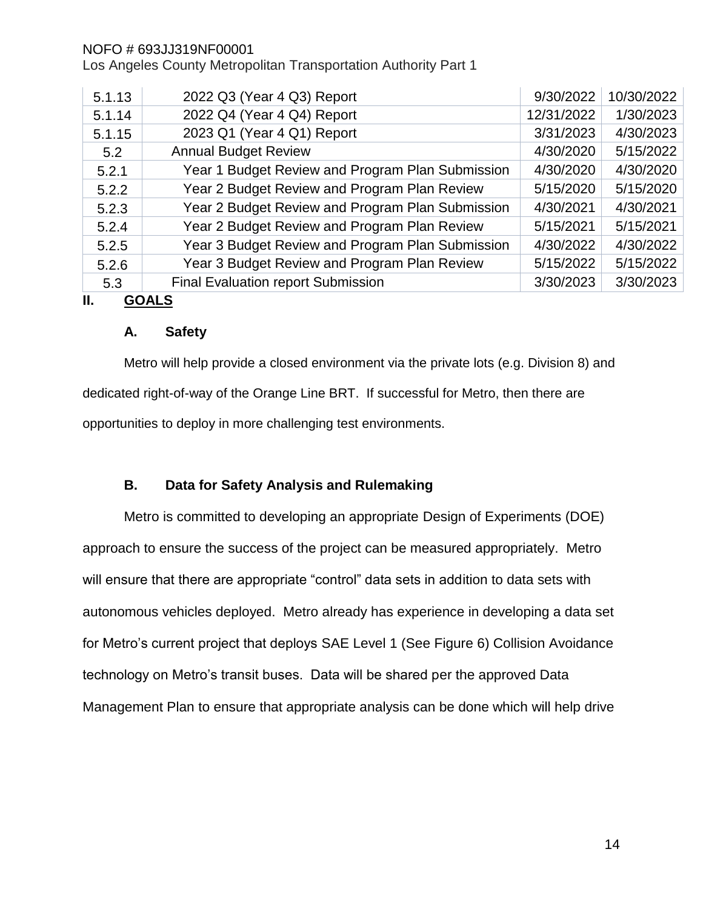Los Angeles County Metropolitan Transportation Authority Part 1

| 5.1.13             | 2022 Q3 (Year 4 Q3) Report                       | 9/30/2022  | 10/30/2022 |  |  |
|--------------------|--------------------------------------------------|------------|------------|--|--|
| 5.1.14             | 2022 Q4 (Year 4 Q4) Report                       | 12/31/2022 | 1/30/2023  |  |  |
| 5.1.15             | 2023 Q1 (Year 4 Q1) Report                       | 3/31/2023  | 4/30/2023  |  |  |
| 5.2                | <b>Annual Budget Review</b>                      | 4/30/2020  | 5/15/2022  |  |  |
| 5.2.1              | Year 1 Budget Review and Program Plan Submission | 4/30/2020  | 4/30/2020  |  |  |
| 5.2.2              | Year 2 Budget Review and Program Plan Review     | 5/15/2020  | 5/15/2020  |  |  |
| 5.2.3              | Year 2 Budget Review and Program Plan Submission | 4/30/2021  | 4/30/2021  |  |  |
| 5.2.4              | Year 2 Budget Review and Program Plan Review     | 5/15/2021  | 5/15/2021  |  |  |
| 5.2.5              | Year 3 Budget Review and Program Plan Submission | 4/30/2022  | 4/30/2022  |  |  |
| 5.2.6              | Year 3 Budget Review and Program Plan Review     | 5/15/2022  | 5/15/2022  |  |  |
| 5.3                | Final Evaluation report Submission               | 3/30/2023  | 3/30/2023  |  |  |
| Ш.<br><b>GOALS</b> |                                                  |            |            |  |  |

## <span id="page-13-0"></span>**A. Safety**

Metro will help provide a closed environment via the private lots (e.g. Division 8) and dedicated right-of-way of the Orange Line BRT. If successful for Metro, then there are opportunities to deploy in more challenging test environments.

## **B. Data for Safety Analysis and Rulemaking**

Metro is committed to developing an appropriate Design of Experiments (DOE) approach to ensure the success of the project can be measured appropriately. Metro will ensure that there are appropriate "control" data sets in addition to data sets with autonomous vehicles deployed. Metro already has experience in developing a data set for Metro's current project that deploys SAE Level 1 (See Figure 6) Collision Avoidance technology on Metro's transit buses. Data will be shared per the approved Data Management Plan to ensure that appropriate analysis can be done which will help drive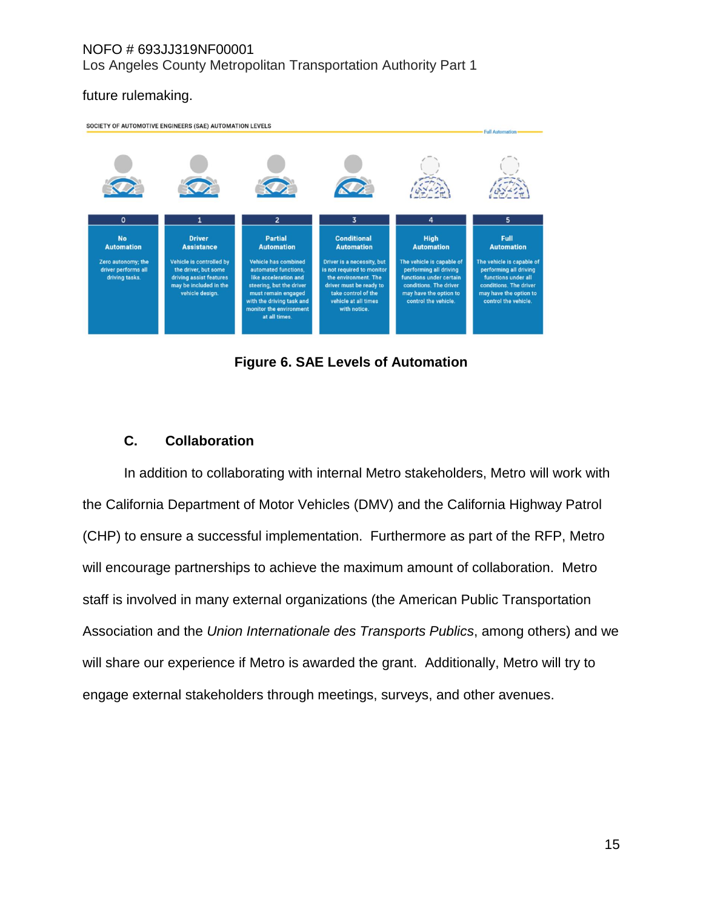### future rulemaking.



**Figure 6. SAE Levels of Automation**

## **C. Collaboration**

In addition to collaborating with internal Metro stakeholders, Metro will work with the California Department of Motor Vehicles (DMV) and the California Highway Patrol (CHP) to ensure a successful implementation. Furthermore as part of the RFP, Metro will encourage partnerships to achieve the maximum amount of collaboration. Metro staff is involved in many external organizations (the American Public Transportation Association and the *Union Internationale des Transports Publics*, among others) and we will share our experience if Metro is awarded the grant. Additionally, Metro will try to engage external stakeholders through meetings, surveys, and other avenues.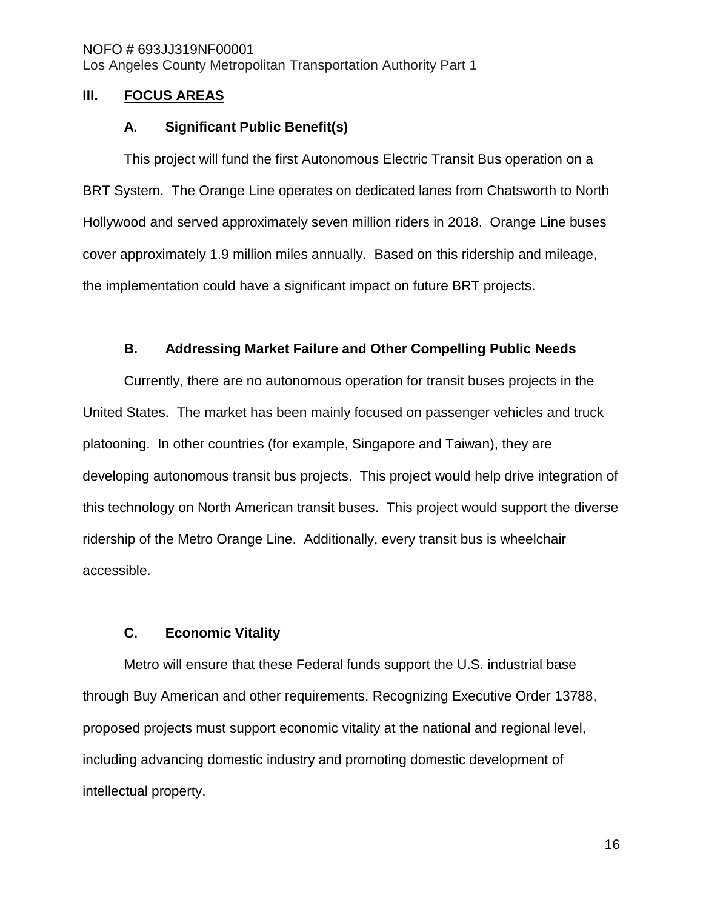#### <span id="page-15-0"></span>**III. FOCUS AREAS**

#### **A. Significant Public Benefit(s)**

This project will fund the first Autonomous Electric Transit Bus operation on a BRT System. The Orange Line operates on dedicated lanes from Chatsworth to North Hollywood and served approximately seven million riders in 2018. Orange Line buses cover approximately 1.9 million miles annually. Based on this ridership and mileage, the implementation could have a significant impact on future BRT projects.

#### **B. Addressing Market Failure and Other Compelling Public Needs**

<span id="page-15-1"></span>Currently, there are no autonomous operation for transit buses projects in the United States. The market has been mainly focused on passenger vehicles and truck platooning. In other countries (for example, Singapore and Taiwan), they are developing autonomous transit bus projects. This project would help drive integration of this technology on North American transit buses. This project would support the diverse ridership of the Metro Orange Line. Additionally, every transit bus is wheelchair accessible.

### **C. Economic Vitality**

Metro will ensure that these Federal funds support the U.S. industrial base through Buy American and other requirements. Recognizing Executive Order 13788, proposed projects must support economic vitality at the national and regional level, including advancing domestic industry and promoting domestic development of intellectual property.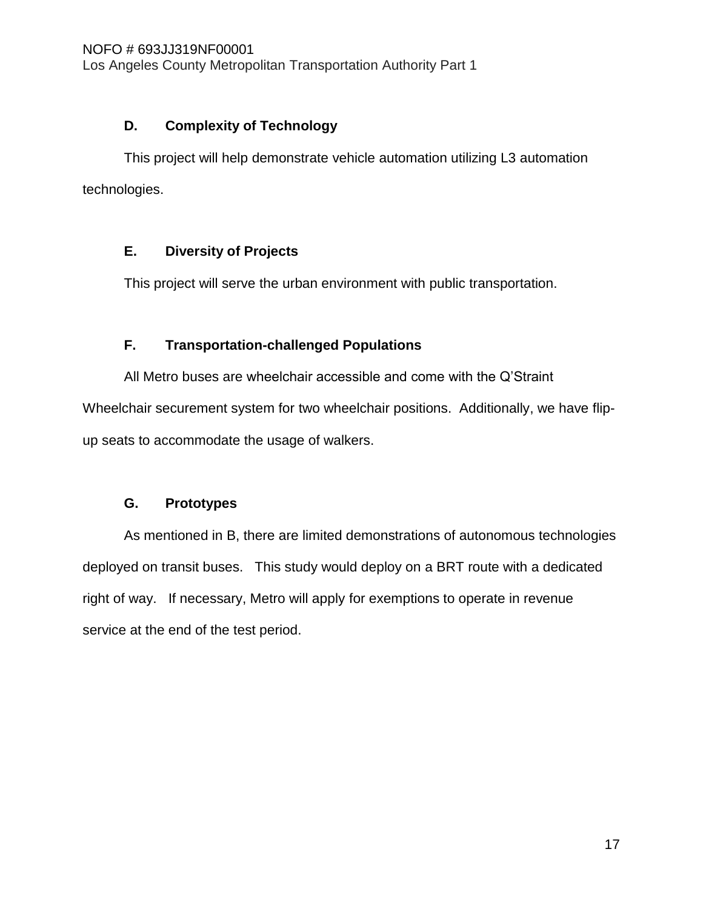## **D. Complexity of Technology**

This project will help demonstrate vehicle automation utilizing L3 automation technologies.

## **E. Diversity of Projects**

This project will serve the urban environment with public transportation.

## **F. Transportation-challenged Populations**

All Metro buses are wheelchair accessible and come with the Q'Straint Wheelchair securement system for two wheelchair positions. Additionally, we have flipup seats to accommodate the usage of walkers.

## **G. Prototypes**

As mentioned in [B,](#page-15-1) there are limited demonstrations of autonomous technologies deployed on transit buses. This study would deploy on a BRT route with a dedicated right of way. If necessary, Metro will apply for exemptions to operate in revenue service at the end of the test period.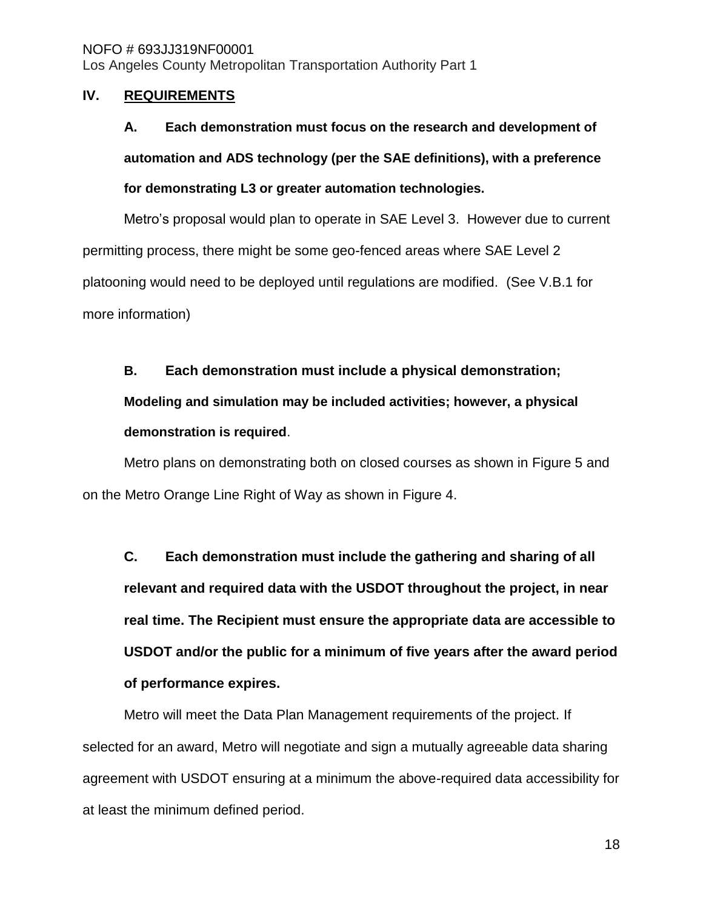#### <span id="page-17-0"></span>**IV. REQUIREMENTS**

## **A. Each demonstration must focus on the research and development of automation and ADS technology (per the SAE definitions), with a preference for demonstrating L3 or greater automation technologies.**

Metro's proposal would plan to operate in SAE Level 3. However due to current permitting process, there might be some geo-fenced areas where SAE Level 2 platooning would need to be deployed until regulations are modified. (See [V.B.1](#page-21-0) for more information)

### **B. Each demonstration must include a physical demonstration;**

## **Modeling and simulation may be included activities; however, a physical demonstration is required**.

Metro plans on demonstrating both on closed courses as shown in Figure 5 and on the Metro Orange Line Right of Way as shown in Figure 4.

**C. Each demonstration must include the gathering and sharing of all relevant and required data with the USDOT throughout the project, in near real time. The Recipient must ensure the appropriate data are accessible to USDOT and/or the public for a minimum of five years after the award period of performance expires.**

Metro will meet the Data Plan Management requirements of the project. If selected for an award, Metro will negotiate and sign a mutually agreeable data sharing agreement with USDOT ensuring at a minimum the above-required data accessibility for at least the minimum defined period.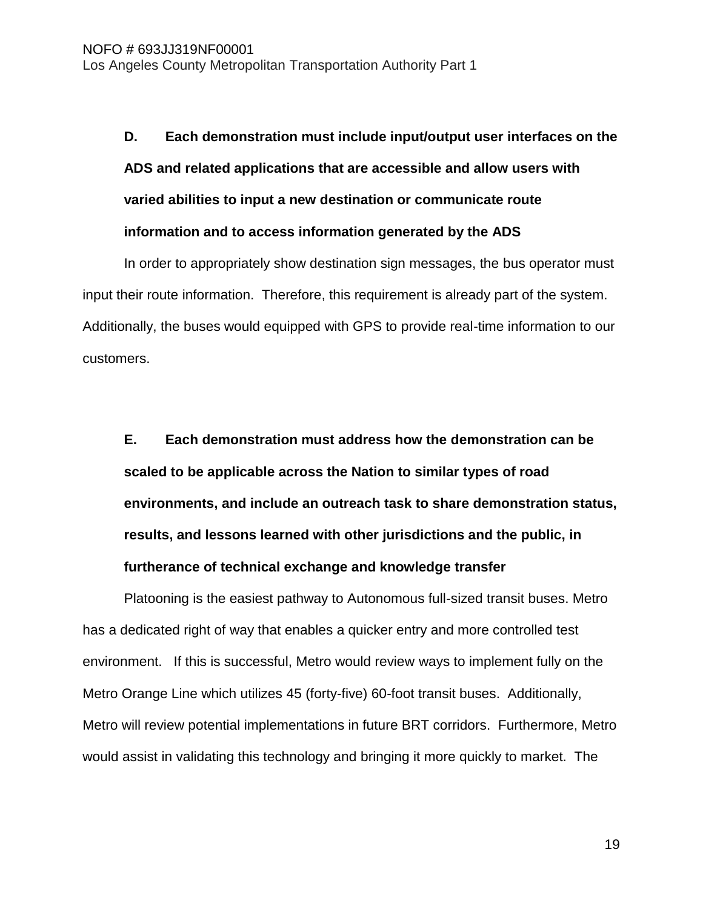# **D. Each demonstration must include input/output user interfaces on the ADS and related applications that are accessible and allow users with varied abilities to input a new destination or communicate route information and to access information generated by the ADS**

In order to appropriately show destination sign messages, the bus operator must input their route information. Therefore, this requirement is already part of the system. Additionally, the buses would equipped with GPS to provide real-time information to our customers.

**E. Each demonstration must address how the demonstration can be scaled to be applicable across the Nation to similar types of road environments, and include an outreach task to share demonstration status, results, and lessons learned with other jurisdictions and the public, in furtherance of technical exchange and knowledge transfer** 

Platooning is the easiest pathway to Autonomous full-sized transit buses. Metro has a dedicated right of way that enables a quicker entry and more controlled test environment. If this is successful, Metro would review ways to implement fully on the Metro Orange Line which utilizes 45 (forty-five) 60-foot transit buses. Additionally, Metro will review potential implementations in future BRT corridors. Furthermore, Metro would assist in validating this technology and bringing it more quickly to market. The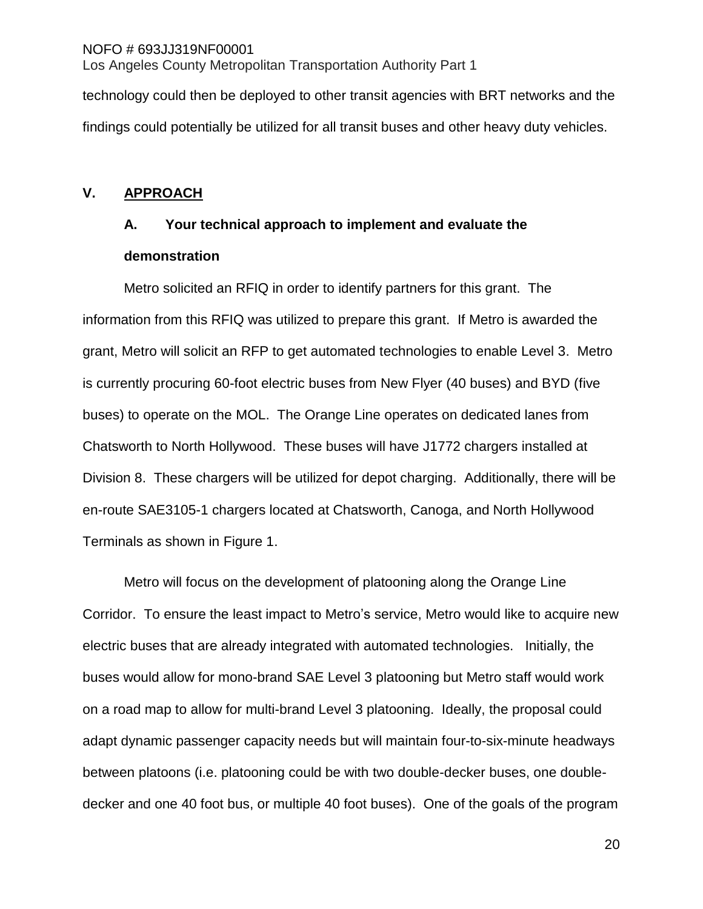technology could then be deployed to other transit agencies with BRT networks and the findings could potentially be utilized for all transit buses and other heavy duty vehicles.

### <span id="page-19-0"></span>**V. APPROACH**

## **A. Your technical approach to implement and evaluate the demonstration**

Metro solicited an RFIQ in order to identify partners for this grant. The information from this RFIQ was utilized to prepare this grant. If Metro is awarded the grant, Metro will solicit an RFP to get automated technologies to enable Level 3. Metro is currently procuring 60-foot electric buses from New Flyer (40 buses) and BYD (five buses) to operate on the MOL. The Orange Line operates on dedicated lanes from Chatsworth to North Hollywood. These buses will have J1772 chargers installed at Division 8. These chargers will be utilized for depot charging. Additionally, there will be en-route SAE3105-1 chargers located at Chatsworth, Canoga, and North Hollywood Terminals as shown in Figure 1.

Metro will focus on the development of platooning along the Orange Line Corridor. To ensure the least impact to Metro's service, Metro would like to acquire new electric buses that are already integrated with automated technologies. Initially, the buses would allow for mono-brand SAE Level 3 platooning but Metro staff would work on a road map to allow for multi-brand Level 3 platooning. Ideally, the proposal could adapt dynamic passenger capacity needs but will maintain four-to-six-minute headways between platoons (i.e. platooning could be with two double-decker buses, one doubledecker and one 40 foot bus, or multiple 40 foot buses). One of the goals of the program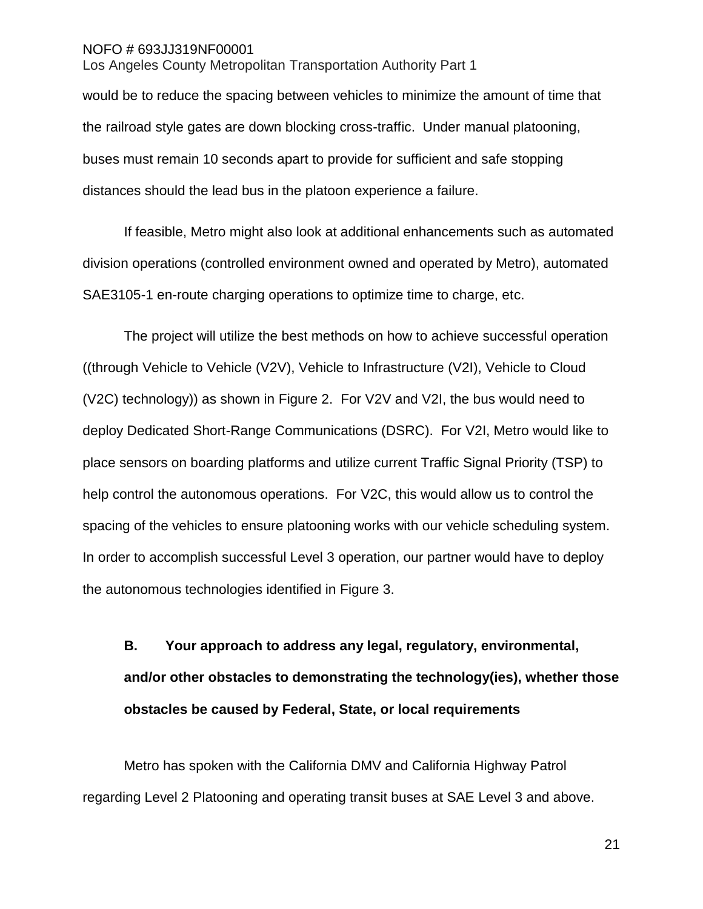Los Angeles County Metropolitan Transportation Authority Part 1

would be to reduce the spacing between vehicles to minimize the amount of time that the railroad style gates are down blocking cross-traffic. Under manual platooning, buses must remain 10 seconds apart to provide for sufficient and safe stopping distances should the lead bus in the platoon experience a failure.

If feasible, Metro might also look at additional enhancements such as automated division operations (controlled environment owned and operated by Metro), automated SAE3105-1 en-route charging operations to optimize time to charge, etc.

The project will utilize the best methods on how to achieve successful operation ((through Vehicle to Vehicle (V2V), Vehicle to Infrastructure (V2I), Vehicle to Cloud (V2C) technology)) as shown in Figure 2. For V2V and V2I, the bus would need to deploy Dedicated Short-Range Communications (DSRC). For V2I, Metro would like to place sensors on boarding platforms and utilize current Traffic Signal Priority (TSP) to help control the autonomous operations. For V2C, this would allow us to control the spacing of the vehicles to ensure platooning works with our vehicle scheduling system. In order to accomplish successful Level 3 operation, our partner would have to deploy the autonomous technologies identified in Figure 3.

**B. Your approach to address any legal, regulatory, environmental, and/or other obstacles to demonstrating the technology(ies), whether those obstacles be caused by Federal, State, or local requirements**

Metro has spoken with the California DMV and California Highway Patrol regarding Level 2 Platooning and operating transit buses at SAE Level 3 and above.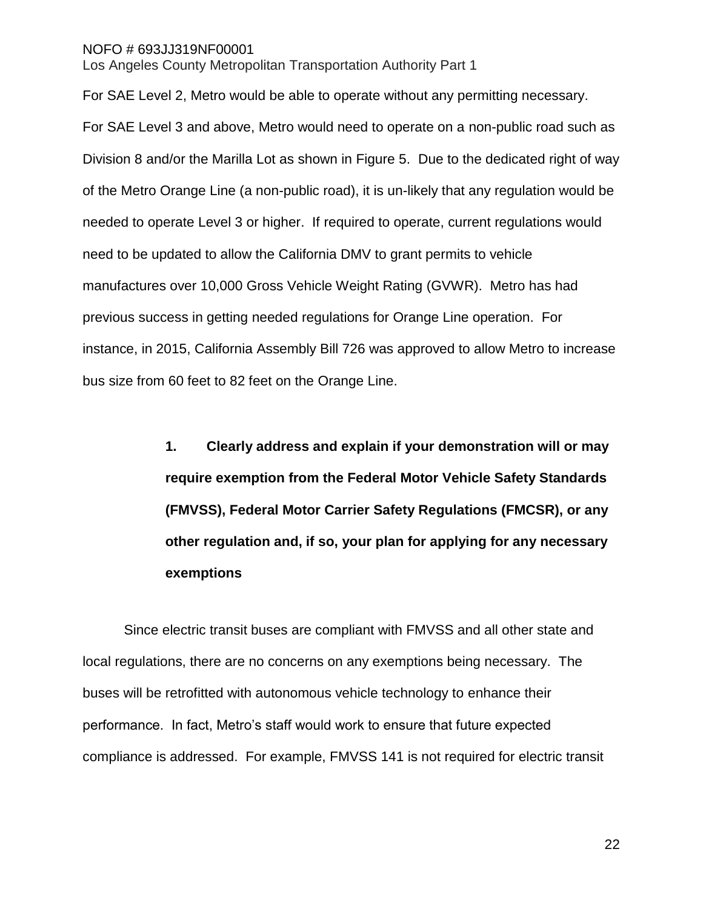Los Angeles County Metropolitan Transportation Authority Part 1

For SAE Level 2, Metro would be able to operate without any permitting necessary. For SAE Level 3 and above, Metro would need to operate on a non-public road such as Division 8 and/or the Marilla Lot as shown in Figure 5. Due to the dedicated right of way of the Metro Orange Line (a non-public road), it is un-likely that any regulation would be needed to operate Level 3 or higher. If required to operate, current regulations would need to be updated to allow the California DMV to grant permits to vehicle manufactures over 10,000 Gross Vehicle Weight Rating (GVWR). Metro has had previous success in getting needed regulations for Orange Line operation. For instance, in 2015, California Assembly Bill 726 was approved to allow Metro to increase bus size from 60 feet to 82 feet on the Orange Line.

> <span id="page-21-0"></span>**1. Clearly address and explain if your demonstration will or may require exemption from the Federal Motor Vehicle Safety Standards (FMVSS), Federal Motor Carrier Safety Regulations (FMCSR), or any other regulation and, if so, your plan for applying for any necessary exemptions**

Since electric transit buses are compliant with FMVSS and all other state and local regulations, there are no concerns on any exemptions being necessary. The buses will be retrofitted with autonomous vehicle technology to enhance their performance. In fact, Metro's staff would work to ensure that future expected compliance is addressed. For example, FMVSS 141 is not required for electric transit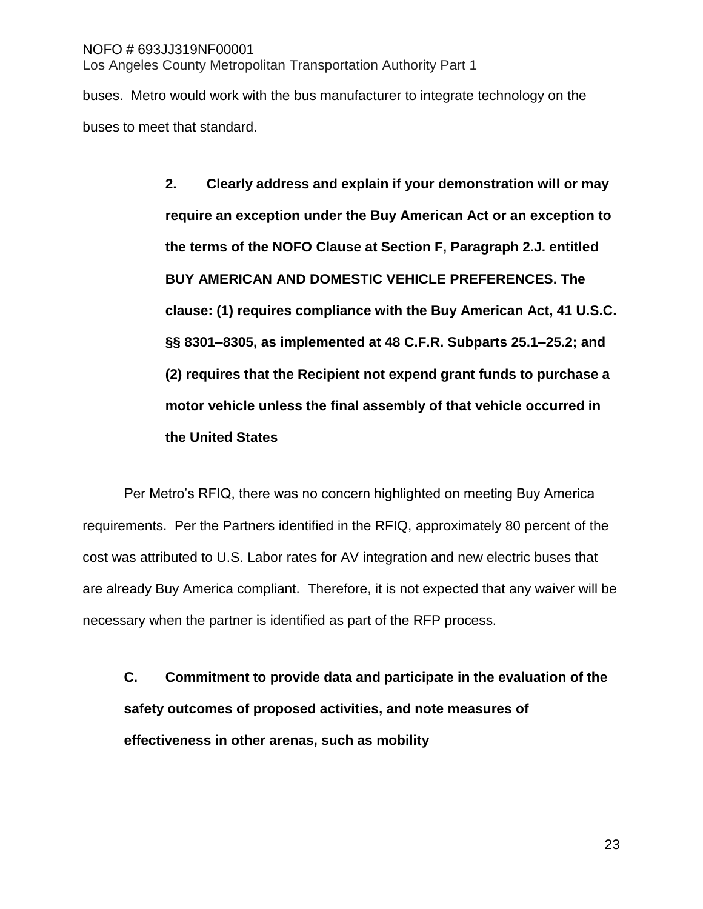buses. Metro would work with the bus manufacturer to integrate technology on the buses to meet that standard.

> **2. Clearly address and explain if your demonstration will or may require an exception under the Buy American Act or an exception to the terms of the NOFO Clause at Section F, Paragraph 2.J. entitled BUY AMERICAN AND DOMESTIC VEHICLE PREFERENCES. The clause: (1) requires compliance with the Buy American Act, 41 U.S.C. §§ 8301–8305, as implemented at 48 C.F.R. Subparts 25.1–25.2; and (2) requires that the Recipient not expend grant funds to purchase a motor vehicle unless the final assembly of that vehicle occurred in the United States**

Per Metro's RFIQ, there was no concern highlighted on meeting Buy America requirements. Per the Partners identified in the RFIQ, approximately 80 percent of the cost was attributed to U.S. Labor rates for AV integration and new electric buses that are already Buy America compliant. Therefore, it is not expected that any waiver will be necessary when the partner is identified as part of the RFP process.

**C. Commitment to provide data and participate in the evaluation of the safety outcomes of proposed activities, and note measures of effectiveness in other arenas, such as mobility**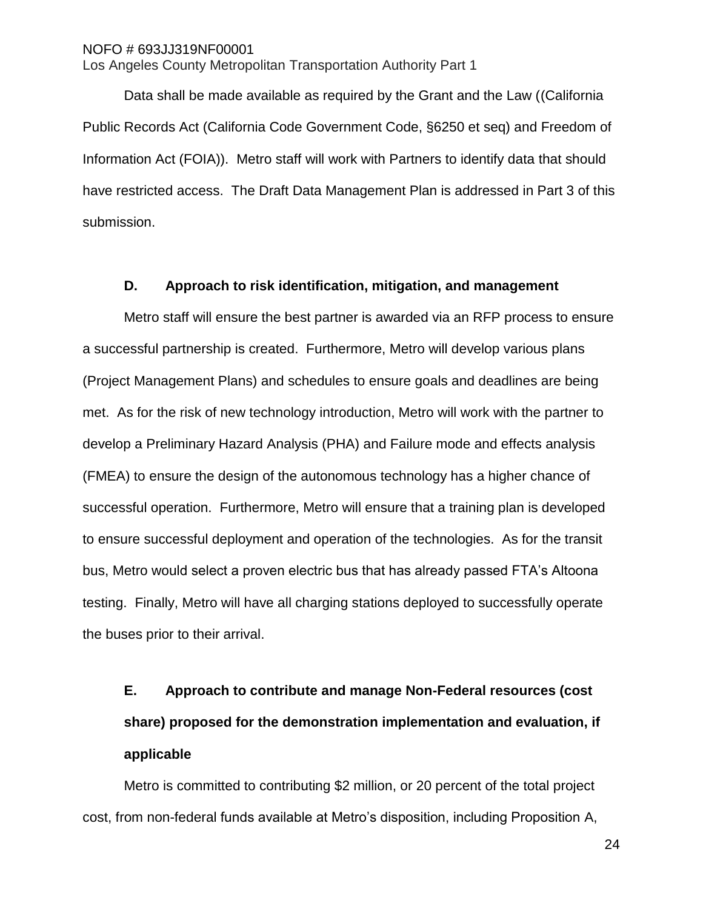Los Angeles County Metropolitan Transportation Authority Part 1

Data shall be made available as required by the Grant and the Law ((California Public Records Act (California Code Government Code, §6250 et seq) and Freedom of Information Act (FOIA)). Metro staff will work with Partners to identify data that should have restricted access. The Draft Data Management Plan is addressed in Part 3 of this submission.

#### **D. Approach to risk identification, mitigation, and management**

Metro staff will ensure the best partner is awarded via an RFP process to ensure a successful partnership is created. Furthermore, Metro will develop various plans (Project Management Plans) and schedules to ensure goals and deadlines are being met. As for the risk of new technology introduction, Metro will work with the partner to develop a Preliminary Hazard Analysis (PHA) and Failure mode and effects analysis (FMEA) to ensure the design of the autonomous technology has a higher chance of successful operation. Furthermore, Metro will ensure that a training plan is developed to ensure successful deployment and operation of the technologies. As for the transit bus, Metro would select a proven electric bus that has already passed FTA's Altoona testing. Finally, Metro will have all charging stations deployed to successfully operate the buses prior to their arrival.

# **E. Approach to contribute and manage Non-Federal resources (cost share) proposed for the demonstration implementation and evaluation, if applicable**

Metro is committed to contributing \$2 million, or 20 percent of the total project cost, from non-federal funds available at Metro's disposition, including Proposition A,